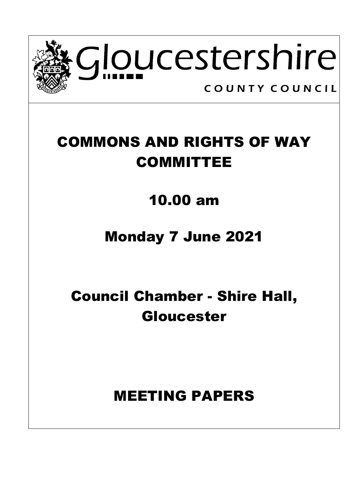

# COMMONS AND RIGHTS OF WAY COMMITTEE

## 10.00 am

## Monday 7 June 2021

# Council Chamber - Shire Hall, Gloucester

## MEETING PAPERS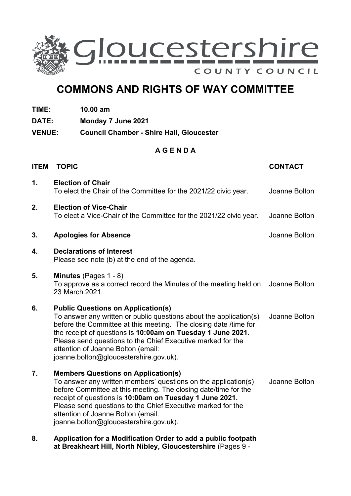

## **COMMONS AND RIGHTS OF WAY COMMITTEE**

- **TIME: 10.00 am**
- **DATE: Monday 7 June 2021**
- **VENUE: Council Chamber - Shire Hall, Gloucester**

### **A G E N D A**

| <b>ITEM</b> | <b>TOPIC</b>                                                                                                                                                                                                                                                                                                                                                                                      | <b>CONTACT</b> |
|-------------|---------------------------------------------------------------------------------------------------------------------------------------------------------------------------------------------------------------------------------------------------------------------------------------------------------------------------------------------------------------------------------------------------|----------------|
| 1.          | <b>Election of Chair</b><br>To elect the Chair of the Committee for the 2021/22 civic year.                                                                                                                                                                                                                                                                                                       | Joanne Bolton  |
| 2.          | <b>Election of Vice-Chair</b><br>To elect a Vice-Chair of the Committee for the 2021/22 civic year.                                                                                                                                                                                                                                                                                               | Joanne Bolton  |
| 3.          | <b>Apologies for Absence</b>                                                                                                                                                                                                                                                                                                                                                                      | Joanne Bolton  |
| 4.          | <b>Declarations of Interest</b><br>Please see note (b) at the end of the agenda.                                                                                                                                                                                                                                                                                                                  |                |
| 5.          | Minutes (Pages 1 - 8)<br>To approve as a correct record the Minutes of the meeting held on<br>23 March 2021.                                                                                                                                                                                                                                                                                      | Joanne Bolton  |
| 6.          | <b>Public Questions on Application(s)</b><br>To answer any written or public questions about the application(s)<br>before the Committee at this meeting. The closing date /time for<br>the receipt of questions is 10:00am on Tuesday 1 June 2021.<br>Please send questions to the Chief Executive marked for the<br>attention of Joanne Bolton (email:<br>joanne.bolton@gloucestershire.gov.uk). | Joanne Bolton  |
| 7.          | <b>Members Questions on Application(s)</b><br>To answer any written members' questions on the application(s)<br>before Committee at this meeting. The closing date/time for the<br>receipt of questions is 10:00am on Tuesday 1 June 2021.<br>Please send questions to the Chief Executive marked for the<br>attention of Joanne Bolton (email:<br>joanne.bolton@gloucestershire.gov.uk).         | Joanne Bolton  |
| 8.          | Application for a Modification Order to add a public footpath                                                                                                                                                                                                                                                                                                                                     |                |

**at Breakheart Hill, North Nibley, Gloucestershire** (Pages 9 -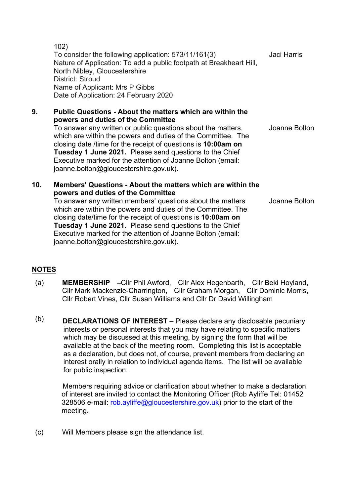102) To consider the following application: 573/11/161(3) Nature of Application: To add a public footpath at Breakheart Hill, North Nibley, Gloucestershire District: Stroud Name of Applicant: Mrs P Gibbs Date of Application: 24 February 2020 Jaci Harris

#### **9. Public Questions - About the matters which are within the powers and duties of the Committee**

To answer any written or public questions about the matters, which are within the powers and duties of the Committee. The closing date /time for the receipt of questions is **10:00am on Tuesday 1 June 2021.** Please send questions to the Chief Executive marked for the attention of Joanne Bolton (email: joanne.bolton@gloucestershire.gov.uk). Joanne Bolton

### **10. Members' Questions - About the matters which are within the powers and duties of the Committee**

To answer any written members' questions about the matters which are within the powers and duties of the Committee. The closing date/time for the receipt of questions is **10:00am on Tuesday 1 June 2021.** Please send questions to the Chief Executive marked for the attention of Joanne Bolton (email: joanne.bolton@gloucestershire.gov.uk). Joanne Bolton

### **NOTES**

- (a) **MEMBERSHIP –**Cllr Phil Awford, Cllr Alex Hegenbarth, Cllr Beki Hoyland, Cllr Mark Mackenzie-Charrington, Cllr Graham Morgan, Cllr Dominic Morris, Cllr Robert Vines, Cllr Susan Williams and Cllr Dr David Willingham
- (b) **DECLARATIONS OF INTEREST** Please declare any disclosable pecuniary interests or personal interests that you may have relating to specific matters which may be discussed at this meeting, by signing the form that will be available at the back of the meeting room. Completing this list is acceptable as a declaration, but does not, of course, prevent members from declaring an interest orally in relation to individual agenda items. The list will be available for public inspection.

Members requiring advice or clarification about whether to make a declaration of interest are invited to contact the Monitoring Officer (Rob Ayliffe Tel: 01452 328506 e-mail: [rob.ayliffe@gloucestershire.gov.uk\)](mailto:rob.ayliffe@gloucestershire.gov.uk) prior to the start of the meeting.

(c) Will Members please sign the attendance list.